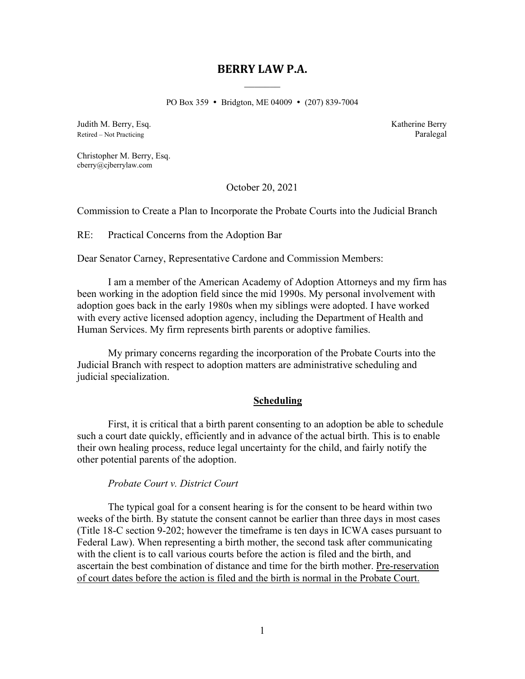# **BERRY LAW P.A.**

PO Box 359 • Bridgton, ME 04009 • (207) 839-7004

Judith M. Berry, Esq. Katherine Berry Retired – Not Practicing **Paralegal** 

Christopher M. Berry, Esq. cberry@cjberrylaw.com

October 20, 2021

Commission to Create a Plan to Incorporate the Probate Courts into the Judicial Branch

RE: Practical Concerns from the Adoption Bar

Dear Senator Carney, Representative Cardone and Commission Members:

I am a member of the American Academy of Adoption Attorneys and my firm has been working in the adoption field since the mid 1990s. My personal involvement with adoption goes back in the early 1980s when my siblings were adopted. I have worked with every active licensed adoption agency, including the Department of Health and Human Services. My firm represents birth parents or adoptive families.

My primary concerns regarding the incorporation of the Probate Courts into the Judicial Branch with respect to adoption matters are administrative scheduling and judicial specialization.

#### **Scheduling**

First, it is critical that a birth parent consenting to an adoption be able to schedule such a court date quickly, efficiently and in advance of the actual birth. This is to enable their own healing process, reduce legal uncertainty for the child, and fairly notify the other potential parents of the adoption.

#### *Probate Court v. District Court*

The typical goal for a consent hearing is for the consent to be heard within two weeks of the birth. By statute the consent cannot be earlier than three days in most cases (Title 18-C section 9-202; however the timeframe is ten days in ICWA cases pursuant to Federal Law). When representing a birth mother, the second task after communicating with the client is to call various courts before the action is filed and the birth, and ascertain the best combination of distance and time for the birth mother. Pre-reservation of court dates before the action is filed and the birth is normal in the Probate Court.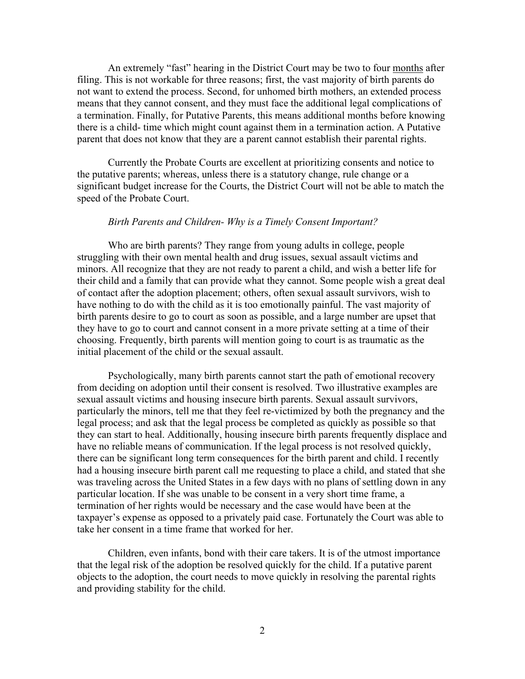An extremely "fast" hearing in the District Court may be two to four months after filing. This is not workable for three reasons; first, the vast majority of birth parents do not want to extend the process. Second, for unhomed birth mothers, an extended process means that they cannot consent, and they must face the additional legal complications of a termination. Finally, for Putative Parents, this means additional months before knowing there is a child- time which might count against them in a termination action. A Putative parent that does not know that they are a parent cannot establish their parental rights.

Currently the Probate Courts are excellent at prioritizing consents and notice to the putative parents; whereas, unless there is a statutory change, rule change or a significant budget increase for the Courts, the District Court will not be able to match the speed of the Probate Court.

#### *Birth Parents and Children- Why is a Timely Consent Important?*

Who are birth parents? They range from young adults in college, people struggling with their own mental health and drug issues, sexual assault victims and minors. All recognize that they are not ready to parent a child, and wish a better life for their child and a family that can provide what they cannot. Some people wish a great deal of contact after the adoption placement; others, often sexual assault survivors, wish to have nothing to do with the child as it is too emotionally painful. The vast majority of birth parents desire to go to court as soon as possible, and a large number are upset that they have to go to court and cannot consent in a more private setting at a time of their choosing. Frequently, birth parents will mention going to court is as traumatic as the initial placement of the child or the sexual assault.

Psychologically, many birth parents cannot start the path of emotional recovery from deciding on adoption until their consent is resolved. Two illustrative examples are sexual assault victims and housing insecure birth parents. Sexual assault survivors, particularly the minors, tell me that they feel re-victimized by both the pregnancy and the legal process; and ask that the legal process be completed as quickly as possible so that they can start to heal. Additionally, housing insecure birth parents frequently displace and have no reliable means of communication. If the legal process is not resolved quickly, there can be significant long term consequences for the birth parent and child. I recently had a housing insecure birth parent call me requesting to place a child, and stated that she was traveling across the United States in a few days with no plans of settling down in any particular location. If she was unable to be consent in a very short time frame, a termination of her rights would be necessary and the case would have been at the taxpayer's expense as opposed to a privately paid case. Fortunately the Court was able to take her consent in a time frame that worked for her.

Children, even infants, bond with their care takers. It is of the utmost importance that the legal risk of the adoption be resolved quickly for the child. If a putative parent objects to the adoption, the court needs to move quickly in resolving the parental rights and providing stability for the child.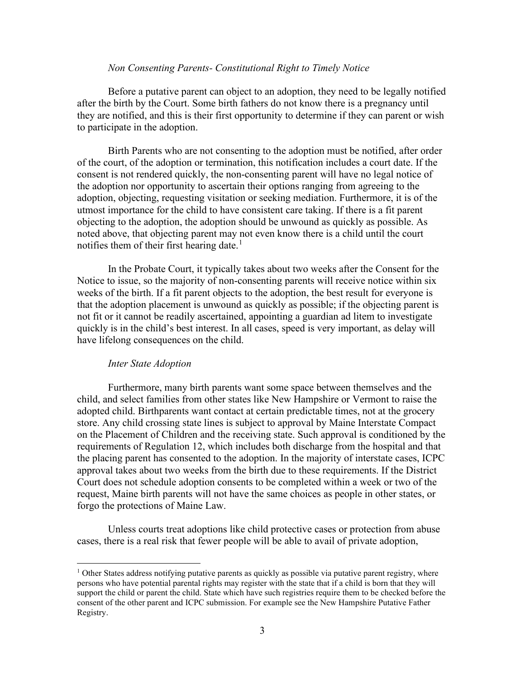### *Non Consenting Parents- Constitutional Right to Timely Notice*

Before a putative parent can object to an adoption, they need to be legally notified after the birth by the Court. Some birth fathers do not know there is a pregnancy until they are notified, and this is their first opportunity to determine if they can parent or wish to participate in the adoption.

Birth Parents who are not consenting to the adoption must be notified, after order of the court, of the adoption or termination, this notification includes a court date. If the consent is not rendered quickly, the non-consenting parent will have no legal notice of the adoption nor opportunity to ascertain their options ranging from agreeing to the adoption, objecting, requesting visitation or seeking mediation. Furthermore, it is of the utmost importance for the child to have consistent care taking. If there is a fit parent objecting to the adoption, the adoption should be unwound as quickly as possible. As noted above, that objecting parent may not even know there is a child until the court notifies them of their first hearing date.<sup>[1](#page-2-0)</sup>

In the Probate Court, it typically takes about two weeks after the Consent for the Notice to issue, so the majority of non-consenting parents will receive notice within six weeks of the birth. If a fit parent objects to the adoption, the best result for everyone is that the adoption placement is unwound as quickly as possible; if the objecting parent is not fit or it cannot be readily ascertained, appointing a guardian ad litem to investigate quickly is in the child's best interest. In all cases, speed is very important, as delay will have lifelong consequences on the child.

#### *Inter State Adoption*

Furthermore, many birth parents want some space between themselves and the child, and select families from other states like New Hampshire or Vermont to raise the adopted child. Birthparents want contact at certain predictable times, not at the grocery store. Any child crossing state lines is subject to approval by Maine Interstate Compact on the Placement of Children and the receiving state. Such approval is conditioned by the requirements of Regulation 12, which includes both discharge from the hospital and that the placing parent has consented to the adoption. In the majority of interstate cases, ICPC approval takes about two weeks from the birth due to these requirements. If the District Court does not schedule adoption consents to be completed within a week or two of the request, Maine birth parents will not have the same choices as people in other states, or forgo the protections of Maine Law.

Unless courts treat adoptions like child protective cases or protection from abuse cases, there is a real risk that fewer people will be able to avail of private adoption,

<span id="page-2-0"></span> $<sup>1</sup>$  Other States address notifying putative parents as quickly as possible via putative parent registry, where</sup> persons who have potential parental rights may register with the state that if a child is born that they will support the child or parent the child. State which have such registries require them to be checked before the consent of the other parent and ICPC submission. For example see the New Hampshire Putative Father Registry.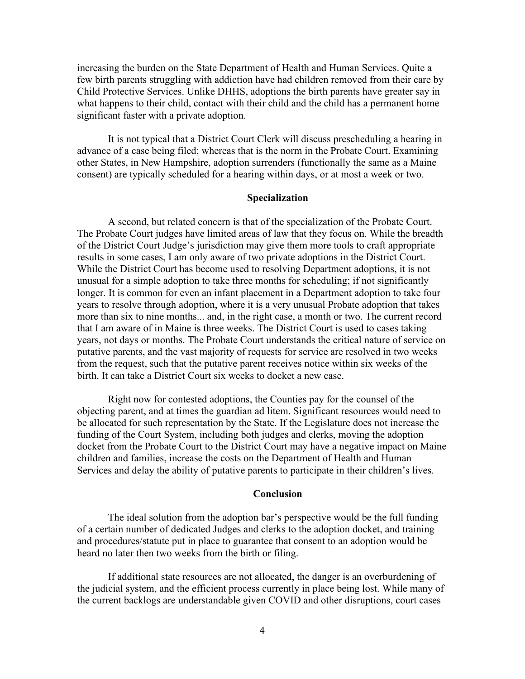increasing the burden on the State Department of Health and Human Services. Quite a few birth parents struggling with addiction have had children removed from their care by Child Protective Services. Unlike DHHS, adoptions the birth parents have greater say in what happens to their child, contact with their child and the child has a permanent home significant faster with a private adoption.

It is not typical that a District Court Clerk will discuss prescheduling a hearing in advance of a case being filed; whereas that is the norm in the Probate Court. Examining other States, in New Hampshire, adoption surrenders (functionally the same as a Maine consent) are typically scheduled for a hearing within days, or at most a week or two.

## **Specialization**

A second, but related concern is that of the specialization of the Probate Court. The Probate Court judges have limited areas of law that they focus on. While the breadth of the District Court Judge's jurisdiction may give them more tools to craft appropriate results in some cases, I am only aware of two private adoptions in the District Court. While the District Court has become used to resolving Department adoptions, it is not unusual for a simple adoption to take three months for scheduling; if not significantly longer. It is common for even an infant placement in a Department adoption to take four years to resolve through adoption, where it is a very unusual Probate adoption that takes more than six to nine months... and, in the right case, a month or two. The current record that I am aware of in Maine is three weeks. The District Court is used to cases taking years, not days or months. The Probate Court understands the critical nature of service on putative parents, and the vast majority of requests for service are resolved in two weeks from the request, such that the putative parent receives notice within six weeks of the birth. It can take a District Court six weeks to docket a new case.

Right now for contested adoptions, the Counties pay for the counsel of the objecting parent, and at times the guardian ad litem. Significant resources would need to be allocated for such representation by the State. If the Legislature does not increase the funding of the Court System, including both judges and clerks, moving the adoption docket from the Probate Court to the District Court may have a negative impact on Maine children and families, increase the costs on the Department of Health and Human Services and delay the ability of putative parents to participate in their children's lives.

#### **Conclusion**

The ideal solution from the adoption bar's perspective would be the full funding of a certain number of dedicated Judges and clerks to the adoption docket, and training and procedures/statute put in place to guarantee that consent to an adoption would be heard no later then two weeks from the birth or filing.

If additional state resources are not allocated, the danger is an overburdening of the judicial system, and the efficient process currently in place being lost. While many of the current backlogs are understandable given COVID and other disruptions, court cases